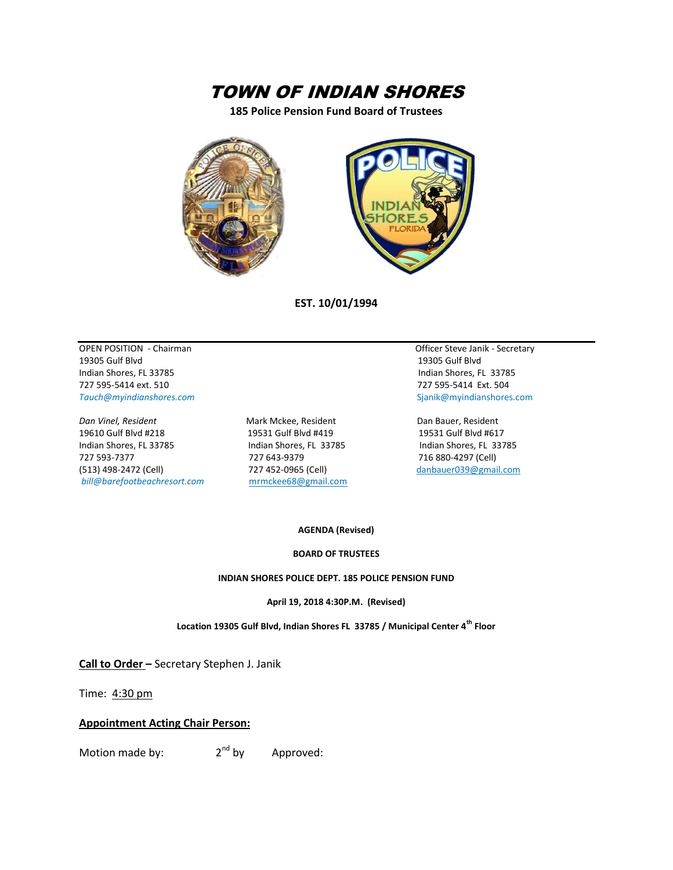# TOWN OF INDIAN SHORES

**185 Police Pension Fund Board of Trustees**



**EST. 10/01/1994**

OPEN POSITION - Chairman Compared to the Contract of Contract of Contract of Contract of Contract of Contract of Contract of Contract of Contract of Contract of Contract of Contract of Contract of Contract of Contract of C 19305 Gulf Blvd 19305 Gulf Blvd Indian Shores, FL 33785 Indian Shores, FL 33785 727 595-5414 ext. 510 727 595-5414 Ext. 504 *Tauch@myindianshores.com* Sjanik@myindianshores.com

*Dan Vinel, Resident* Mark Mckee, Resident Dan Bauer, Resident 19610 Gulf Blvd #218 19531 Gulf Blvd #419 19531 Gulf Blvd #617 Indian Shores, FL 33785 Indian Shores, FL 33785 Indian Shores, FL 33785 727 593-7377 727 643-9379 716 880-4297 (Cell) (513) 498-2472 (Cell) 727 452-0965 (Cell) [danbauer039@gmail.com](mailto:danbauer039@gmail.com) *bill@barefootbeachresort.com* [mrmckee68@gmail.com](mailto:mrmckee68@gmail.com)

#### **AGENDA (Revised)**

#### **BOARD OF TRUSTEES**

#### **INDIAN SHORES POLICE DEPT. 185 POLICE PENSION FUND**

**April 19, 2018 4:30P.M. (Revised)**

**Location 19305 Gulf Blvd, Indian Shores FL 33785 / Municipal Center 4th Floor**

**Call to Order –** Secretary Stephen J. Janik

Time: 4:30 pm

#### **Appointment Acting Chair Person:**

Motion made by:  $2<sup>nd</sup>$  by Approved: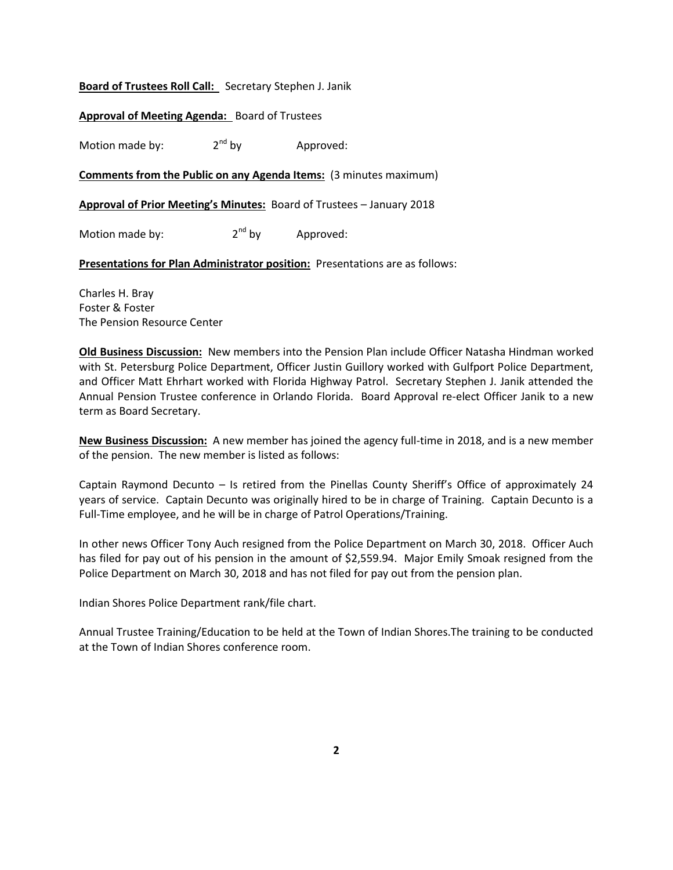### **Board of Trustees Roll Call:** Secretary Stephen J. Janik

### **Approval of Meeting Agenda:** Board of Trustees

Motion made by:  $2^{nd}$  by  $4$  Approved:

### **Comments from the Public on any Agenda Items:** (3 minutes maximum)

**Approval of Prior Meeting's Minutes:** Board of Trustees – January 2018

Motion made by:  $2^{nd}$  by Approved:

**Presentations for Plan Administrator position:** Presentations are as follows:

Charles H. Bray Foster & Foster The Pension Resource Center

**Old Business Discussion:** New members into the Pension Plan include Officer Natasha Hindman worked with St. Petersburg Police Department, Officer Justin Guillory worked with Gulfport Police Department, and Officer Matt Ehrhart worked with Florida Highway Patrol. Secretary Stephen J. Janik attended the Annual Pension Trustee conference in Orlando Florida. Board Approval re-elect Officer Janik to a new term as Board Secretary.

**New Business Discussion:** A new member has joined the agency full-time in 2018, and is a new member of the pension. The new member is listed as follows:

Captain Raymond Decunto – Is retired from the Pinellas County Sheriff's Office of approximately 24 years of service. Captain Decunto was originally hired to be in charge of Training. Captain Decunto is a Full-Time employee, and he will be in charge of Patrol Operations/Training.

In other news Officer Tony Auch resigned from the Police Department on March 30, 2018. Officer Auch has filed for pay out of his pension in the amount of \$2,559.94. Major Emily Smoak resigned from the Police Department on March 30, 2018 and has not filed for pay out from the pension plan.

Indian Shores Police Department rank/file chart.

Annual Trustee Training/Education to be held at the Town of Indian Shores.The training to be conducted at the Town of Indian Shores conference room.